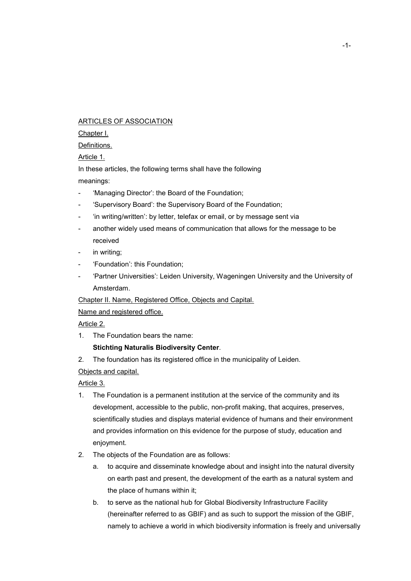### ARTICLES OF ASSOCIATION

#### Chapter I.

#### Definitions.

Article 1.

In these articles, the following terms shall have the following meanings:

- 'Managing Director': the Board of the Foundation;
- 'Supervisory Board': the Supervisory Board of the Foundation;
- 'in writing/written': by letter, telefax or email, or by message sent via
- another widely used means of communication that allows for the message to be received
- in writing;
- 'Foundation': this Foundation;
- 'Partner Universities': Leiden University, Wageningen University and the University of Amsterdam.

Chapter II. Name, Registered Office, Objects and Capital.

Name and registered office.

Article 2.

1. The Foundation bears the name:

# **Stichting Naturalis Biodiversity Center**.

2. The foundation has its registered office in the municipality of Leiden.

Objects and capital.

Article 3.

- 1. The Foundation is a permanent institution at the service of the community and its development, accessible to the public, non-profit making, that acquires, preserves, scientifically studies and displays material evidence of humans and their environment and provides information on this evidence for the purpose of study, education and enjoyment.
- 2. The objects of the Foundation are as follows:
	- a. to acquire and disseminate knowledge about and insight into the natural diversity on earth past and present, the development of the earth as a natural system and the place of humans within it;
	- b. to serve as the national hub for Global Biodiversity Infrastructure Facility (hereinafter referred to as GBIF) and as such to support the mission of the GBIF, namely to achieve a world in which biodiversity information is freely and universally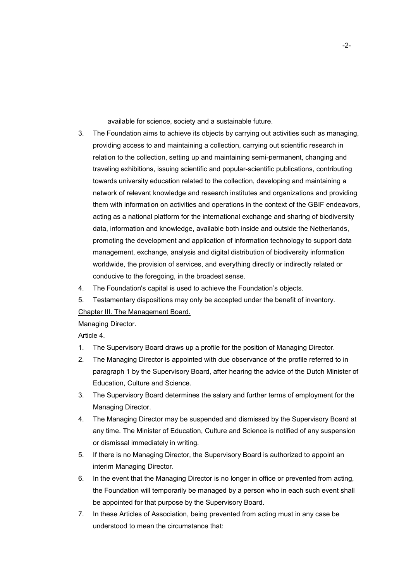available for science, society and a sustainable future.

- 3. The Foundation aims to achieve its objects by carrying out activities such as managing, providing access to and maintaining a collection, carrying out scientific research in relation to the collection, setting up and maintaining semi-permanent, changing and traveling exhibitions, issuing scientific and popular-scientific publications, contributing towards university education related to the collection, developing and maintaining a network of relevant knowledge and research institutes and organizations and providing them with information on activities and operations in the context of the GBIF endeavors, acting as a national platform for the international exchange and sharing of biodiversity data, information and knowledge, available both inside and outside the Netherlands, promoting the development and application of information technology to support data management, exchange, analysis and digital distribution of biodiversity information worldwide, the provision of services, and everything directly or indirectly related or conducive to the foregoing, in the broadest sense.
- 4. The Foundation's capital is used to achieve the Foundation's objects.
- 5. Testamentary dispositions may only be accepted under the benefit of inventory. Chapter III. The Management Board.

## Managing Director.

Article 4.

- 1. The Supervisory Board draws up a profile for the position of Managing Director.
- 2. The Managing Director is appointed with due observance of the profile referred to in paragraph 1 by the Supervisory Board, after hearing the advice of the Dutch Minister of Education, Culture and Science.
- 3. The Supervisory Board determines the salary and further terms of employment for the Managing Director.
- 4. The Managing Director may be suspended and dismissed by the Supervisory Board at any time. The Minister of Education, Culture and Science is notified of any suspension or dismissal immediately in writing.
- 5. If there is no Managing Director, the Supervisory Board is authorized to appoint an interim Managing Director.
- 6. In the event that the Managing Director is no longer in office or prevented from acting, the Foundation will temporarily be managed by a person who in each such event shall be appointed for that purpose by the Supervisory Board.
- 7. In these Articles of Association, being prevented from acting must in any case be understood to mean the circumstance that: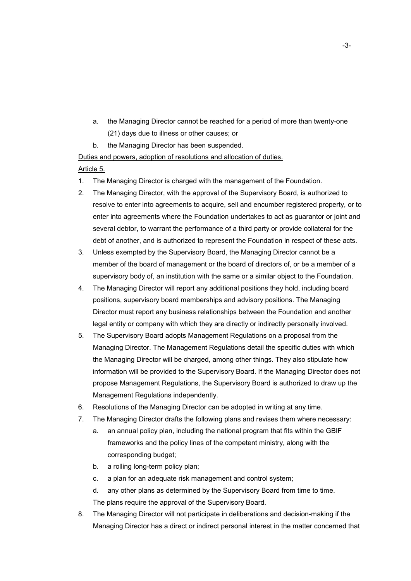- a. the Managing Director cannot be reached for a period of more than twenty-one (21) days due to illness or other causes; or
- b. the Managing Director has been suspended.

Duties and powers, adoption of resolutions and allocation of duties.

## Article 5.

- 1. The Managing Director is charged with the management of the Foundation.
- 2. The Managing Director, with the approval of the Supervisory Board, is authorized to resolve to enter into agreements to acquire, sell and encumber registered property, or to enter into agreements where the Foundation undertakes to act as guarantor or joint and several debtor, to warrant the performance of a third party or provide collateral for the debt of another, and is authorized to represent the Foundation in respect of these acts.
- 3. Unless exempted by the Supervisory Board, the Managing Director cannot be a member of the board of management or the board of directors of, or be a member of a supervisory body of, an institution with the same or a similar object to the Foundation.
- 4. The Managing Director will report any additional positions they hold, including board positions, supervisory board memberships and advisory positions. The Managing Director must report any business relationships between the Foundation and another legal entity or company with which they are directly or indirectly personally involved.
- 5. The Supervisory Board adopts Management Regulations on a proposal from the Managing Director. The Management Regulations detail the specific duties with which the Managing Director will be charged, among other things. They also stipulate how information will be provided to the Supervisory Board. If the Managing Director does not propose Management Regulations, the Supervisory Board is authorized to draw up the Management Regulations independently.
- 6. Resolutions of the Managing Director can be adopted in writing at any time.
- 7. The Managing Director drafts the following plans and revises them where necessary:
	- a. an annual policy plan, including the national program that fits within the GBIF frameworks and the policy lines of the competent ministry, along with the corresponding budget;
	- b. a rolling long-term policy plan;
	- c. a plan for an adequate risk management and control system;
	- d. any other plans as determined by the Supervisory Board from time to time. The plans require the approval of the Supervisory Board.
- 8. The Managing Director will not participate in deliberations and decision-making if the Managing Director has a direct or indirect personal interest in the matter concerned that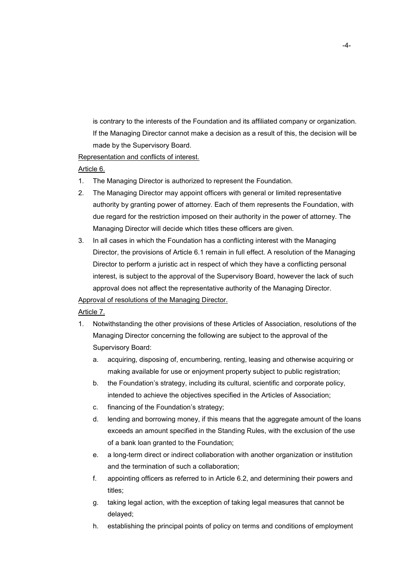is contrary to the interests of the Foundation and its affiliated company or organization. If the Managing Director cannot make a decision as a result of this, the decision will be made by the Supervisory Board.

Representation and conflicts of interest.

#### Article 6.

- 1. The Managing Director is authorized to represent the Foundation.
- 2. The Managing Director may appoint officers with general or limited representative authority by granting power of attorney. Each of them represents the Foundation, with due regard for the restriction imposed on their authority in the power of attorney. The Managing Director will decide which titles these officers are given.
- 3. In all cases in which the Foundation has a conflicting interest with the Managing Director, the provisions of Article 6.1 remain in full effect. A resolution of the Managing Director to perform a juristic act in respect of which they have a conflicting personal interest, is subject to the approval of the Supervisory Board, however the lack of such approval does not affect the representative authority of the Managing Director.

## Approval of resolutions of the Managing Director.

## Article 7.

- 1. Notwithstanding the other provisions of these Articles of Association, resolutions of the Managing Director concerning the following are subject to the approval of the Supervisory Board:
	- a. acquiring, disposing of, encumbering, renting, leasing and otherwise acquiring or making available for use or enjoyment property subject to public registration;
	- b. the Foundation's strategy, including its cultural, scientific and corporate policy, intended to achieve the objectives specified in the Articles of Association;
	- c. financing of the Foundation's strategy;
	- d. lending and borrowing money, if this means that the aggregate amount of the loans exceeds an amount specified in the Standing Rules, with the exclusion of the use of a bank loan granted to the Foundation;
	- e. a long-term direct or indirect collaboration with another organization or institution and the termination of such a collaboration;
	- f. appointing officers as referred to in Article 6.2, and determining their powers and titles;
	- g. taking legal action, with the exception of taking legal measures that cannot be delayed;
	- h. establishing the principal points of policy on terms and conditions of employment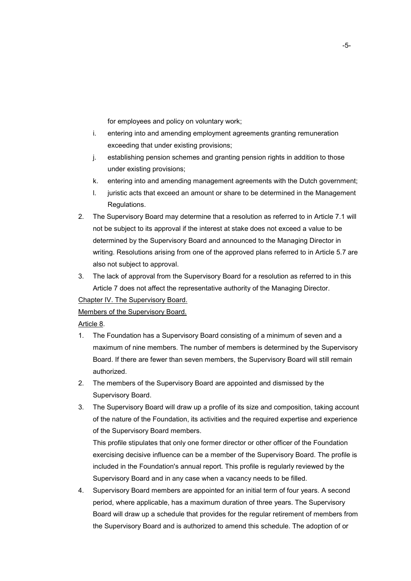for employees and policy on voluntary work;

- i. entering into and amending employment agreements granting remuneration exceeding that under existing provisions;
- j. establishing pension schemes and granting pension rights in addition to those under existing provisions;
- k. entering into and amending management agreements with the Dutch government;
- l. juristic acts that exceed an amount or share to be determined in the Management Regulations.
- 2. The Supervisory Board may determine that a resolution as referred to in Article 7.1 will not be subject to its approval if the interest at stake does not exceed a value to be determined by the Supervisory Board and announced to the Managing Director in writing. Resolutions arising from one of the approved plans referred to in Article 5.7 are also not subject to approval.
- 3. The lack of approval from the Supervisory Board for a resolution as referred to in this Article 7 does not affect the representative authority of the Managing Director.

## Chapter IV. The Supervisory Board.

#### Members of the Supervisory Board.

Article 8.

- 1. The Foundation has a Supervisory Board consisting of a minimum of seven and a maximum of nine members. The number of members is determined by the Supervisory Board. If there are fewer than seven members, the Supervisory Board will still remain authorized.
- 2. The members of the Supervisory Board are appointed and dismissed by the Supervisory Board.
- 3. The Supervisory Board will draw up a profile of its size and composition, taking account of the nature of the Foundation, its activities and the required expertise and experience of the Supervisory Board members.

This profile stipulates that only one former director or other officer of the Foundation exercising decisive influence can be a member of the Supervisory Board. The profile is included in the Foundation's annual report. This profile is regularly reviewed by the Supervisory Board and in any case when a vacancy needs to be filled.

4. Supervisory Board members are appointed for an initial term of four years. A second period, where applicable, has a maximum duration of three years. The Supervisory Board will draw up a schedule that provides for the regular retirement of members from the Supervisory Board and is authorized to amend this schedule. The adoption of or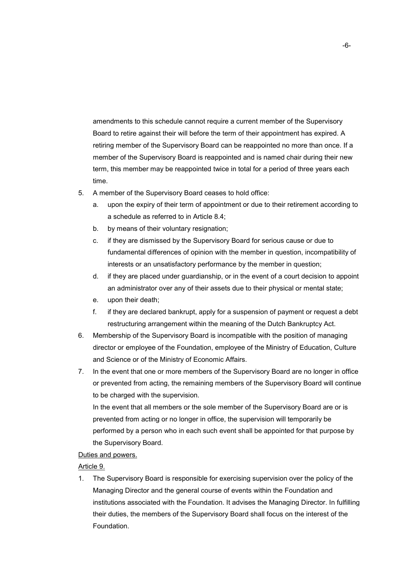amendments to this schedule cannot require a current member of the Supervisory Board to retire against their will before the term of their appointment has expired. A retiring member of the Supervisory Board can be reappointed no more than once. If a member of the Supervisory Board is reappointed and is named chair during their new term, this member may be reappointed twice in total for a period of three years each time.

- 5. A member of the Supervisory Board ceases to hold office:
	- a. upon the expiry of their term of appointment or due to their retirement according to a schedule as referred to in Article 8.4;
	- b. by means of their voluntary resignation;
	- c. if they are dismissed by the Supervisory Board for serious cause or due to fundamental differences of opinion with the member in question, incompatibility of interests or an unsatisfactory performance by the member in question;
	- d. if they are placed under guardianship, or in the event of a court decision to appoint an administrator over any of their assets due to their physical or mental state;
	- e. upon their death;
	- f. if they are declared bankrupt, apply for a suspension of payment or request a debt restructuring arrangement within the meaning of the Dutch Bankruptcy Act.
- 6. Membership of the Supervisory Board is incompatible with the position of managing director or employee of the Foundation, employee of the Ministry of Education, Culture and Science or of the Ministry of Economic Affairs.
- 7. In the event that one or more members of the Supervisory Board are no longer in office or prevented from acting, the remaining members of the Supervisory Board will continue to be charged with the supervision.

In the event that all members or the sole member of the Supervisory Board are or is prevented from acting or no longer in office, the supervision will temporarily be performed by a person who in each such event shall be appointed for that purpose by the Supervisory Board.

#### Duties and powers.

#### Article 9.

1. The Supervisory Board is responsible for exercising supervision over the policy of the Managing Director and the general course of events within the Foundation and institutions associated with the Foundation. It advises the Managing Director. In fulfilling their duties, the members of the Supervisory Board shall focus on the interest of the Foundation.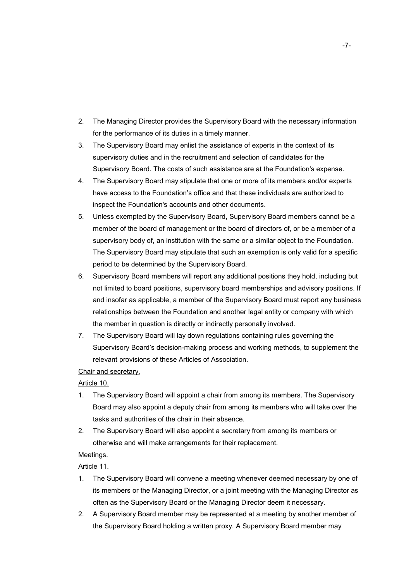- 2. The Managing Director provides the Supervisory Board with the necessary information for the performance of its duties in a timely manner.
- 3. The Supervisory Board may enlist the assistance of experts in the context of its supervisory duties and in the recruitment and selection of candidates for the Supervisory Board. The costs of such assistance are at the Foundation's expense.
- 4. The Supervisory Board may stipulate that one or more of its members and/or experts have access to the Foundation's office and that these individuals are authorized to inspect the Foundation's accounts and other documents.
- 5. Unless exempted by the Supervisory Board, Supervisory Board members cannot be a member of the board of management or the board of directors of, or be a member of a supervisory body of, an institution with the same or a similar object to the Foundation. The Supervisory Board may stipulate that such an exemption is only valid for a specific period to be determined by the Supervisory Board.
- 6. Supervisory Board members will report any additional positions they hold, including but not limited to board positions, supervisory board memberships and advisory positions. If and insofar as applicable, a member of the Supervisory Board must report any business relationships between the Foundation and another legal entity or company with which the member in question is directly or indirectly personally involved.
- 7. The Supervisory Board will lay down regulations containing rules governing the Supervisory Board's decision-making process and working methods, to supplement the relevant provisions of these Articles of Association.

## Chair and secretary.

## Article 10.

- 1. The Supervisory Board will appoint a chair from among its members. The Supervisory Board may also appoint a deputy chair from among its members who will take over the tasks and authorities of the chair in their absence.
- 2. The Supervisory Board will also appoint a secretary from among its members or otherwise and will make arrangements for their replacement.

## Meetings.

Article 11.

- 1. The Supervisory Board will convene a meeting whenever deemed necessary by one of its members or the Managing Director, or a joint meeting with the Managing Director as often as the Supervisory Board or the Managing Director deem it necessary.
- 2. A Supervisory Board member may be represented at a meeting by another member of the Supervisory Board holding a written proxy. A Supervisory Board member may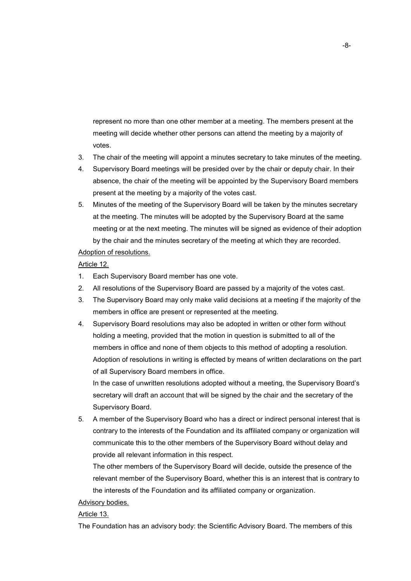represent no more than one other member at a meeting. The members present at the meeting will decide whether other persons can attend the meeting by a majority of votes.

- 3. The chair of the meeting will appoint a minutes secretary to take minutes of the meeting.
- 4. Supervisory Board meetings will be presided over by the chair or deputy chair. In their absence, the chair of the meeting will be appointed by the Supervisory Board members present at the meeting by a majority of the votes cast.
- 5. Minutes of the meeting of the Supervisory Board will be taken by the minutes secretary at the meeting. The minutes will be adopted by the Supervisory Board at the same meeting or at the next meeting. The minutes will be signed as evidence of their adoption by the chair and the minutes secretary of the meeting at which they are recorded.

# Adoption of resolutions.

## Article 12.

- 1. Each Supervisory Board member has one vote.
- 2. All resolutions of the Supervisory Board are passed by a majority of the votes cast.
- 3. The Supervisory Board may only make valid decisions at a meeting if the majority of the members in office are present or represented at the meeting.
- 4. Supervisory Board resolutions may also be adopted in written or other form without holding a meeting, provided that the motion in question is submitted to all of the members in office and none of them objects to this method of adopting a resolution. Adoption of resolutions in writing is effected by means of written declarations on the part of all Supervisory Board members in office.

In the case of unwritten resolutions adopted without a meeting, the Supervisory Board's secretary will draft an account that will be signed by the chair and the secretary of the Supervisory Board.

5. A member of the Supervisory Board who has a direct or indirect personal interest that is contrary to the interests of the Foundation and its affiliated company or organization will communicate this to the other members of the Supervisory Board without delay and provide all relevant information in this respect.

The other members of the Supervisory Board will decide, outside the presence of the relevant member of the Supervisory Board, whether this is an interest that is contrary to the interests of the Foundation and its affiliated company or organization.

## Advisory bodies.

## Article 13.

The Foundation has an advisory body: the Scientific Advisory Board. The members of this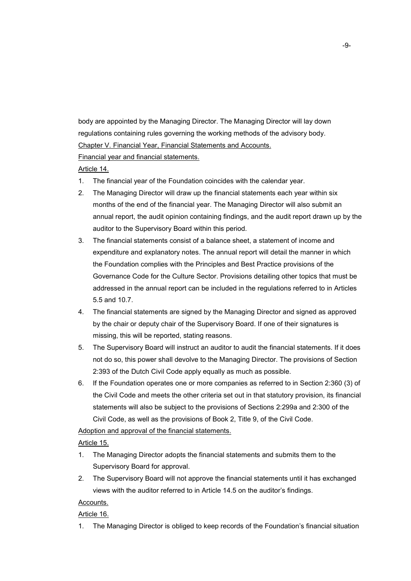body are appointed by the Managing Director. The Managing Director will lay down regulations containing rules governing the working methods of the advisory body. Chapter V. Financial Year, Financial Statements and Accounts.

Financial year and financial statements.

Article 14.

- 1. The financial year of the Foundation coincides with the calendar year.
- 2. The Managing Director will draw up the financial statements each year within six months of the end of the financial year. The Managing Director will also submit an annual report, the audit opinion containing findings, and the audit report drawn up by the auditor to the Supervisory Board within this period.
- 3. The financial statements consist of a balance sheet, a statement of income and expenditure and explanatory notes. The annual report will detail the manner in which the Foundation complies with the Principles and Best Practice provisions of the Governance Code for the Culture Sector. Provisions detailing other topics that must be addressed in the annual report can be included in the regulations referred to in Articles 5.5 and 10.7.
- 4. The financial statements are signed by the Managing Director and signed as approved by the chair or deputy chair of the Supervisory Board. If one of their signatures is missing, this will be reported, stating reasons.
- 5. The Supervisory Board will instruct an auditor to audit the financial statements. If it does not do so, this power shall devolve to the Managing Director. The provisions of Section 2:393 of the Dutch Civil Code apply equally as much as possible.
- 6. If the Foundation operates one or more companies as referred to in Section 2:360 (3) of the Civil Code and meets the other criteria set out in that statutory provision, its financial statements will also be subject to the provisions of Sections 2:299a and 2:300 of the Civil Code, as well as the provisions of Book 2, Title 9, of the Civil Code.

Adoption and approval of the financial statements.

Article 15.

- 1. The Managing Director adopts the financial statements and submits them to the Supervisory Board for approval.
- 2. The Supervisory Board will not approve the financial statements until it has exchanged views with the auditor referred to in Article 14.5 on the auditor's findings.

# Accounts.

# Article 16.

1. The Managing Director is obliged to keep records of the Foundation's financial situation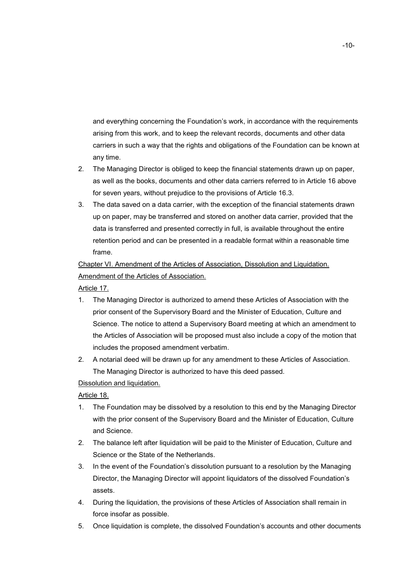and everything concerning the Foundation's work, in accordance with the requirements arising from this work, and to keep the relevant records, documents and other data carriers in such a way that the rights and obligations of the Foundation can be known at any time.

- 2. The Managing Director is obliged to keep the financial statements drawn up on paper, as well as the books, documents and other data carriers referred to in Article 16 above for seven years, without prejudice to the provisions of Article 16.3.
- 3. The data saved on a data carrier, with the exception of the financial statements drawn up on paper, may be transferred and stored on another data carrier, provided that the data is transferred and presented correctly in full, is available throughout the entire retention period and can be presented in a readable format within a reasonable time frame.

Chapter VI. Amendment of the Articles of Association, Dissolution and Liquidation. Amendment of the Articles of Association.

Article 17.

- 1. The Managing Director is authorized to amend these Articles of Association with the prior consent of the Supervisory Board and the Minister of Education, Culture and Science. The notice to attend a Supervisory Board meeting at which an amendment to the Articles of Association will be proposed must also include a copy of the motion that includes the proposed amendment verbatim.
- 2. A notarial deed will be drawn up for any amendment to these Articles of Association. The Managing Director is authorized to have this deed passed.

Dissolution and liquidation.

Article 18.

- 1. The Foundation may be dissolved by a resolution to this end by the Managing Director with the prior consent of the Supervisory Board and the Minister of Education, Culture and Science.
- 2. The balance left after liquidation will be paid to the Minister of Education, Culture and Science or the State of the Netherlands.
- 3. In the event of the Foundation's dissolution pursuant to a resolution by the Managing Director, the Managing Director will appoint liquidators of the dissolved Foundation's assets.
- 4. During the liquidation, the provisions of these Articles of Association shall remain in force insofar as possible.
- 5. Once liquidation is complete, the dissolved Foundation's accounts and other documents